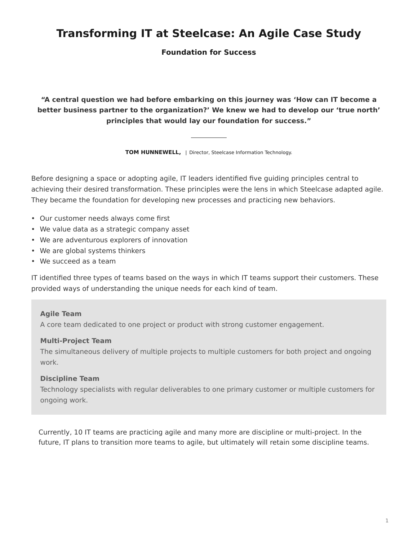# **Transforming IT at Steelcase: An Agile Case Study**

**Foundation for Success**

**"A central question we had before embarking on this journey was 'How can IT become a better business partner to the organization?' We knew we had to develop our 'true north' principles that would lay our foundation for success."**

**TOM HUNNEWELL,** | Director, Steelcase Information Technology.

Before designing a space or adopting agile, IT leaders identified five guiding principles central to achieving their desired transformation. These principles were the lens in which Steelcase adapted agile. They became the foundation for developing new processes and practicing new behaviors.

- Our customer needs always come first
- We value data as a strategic company asset
- We are adventurous explorers of innovation
- We are global systems thinkers
- We succeed as a team

IT identified three types of teams based on the ways in which IT teams support their customers. These provided ways of understanding the unique needs for each kind of team.

## **Agile Team**

A core team dedicated to one project or product with strong customer engagement.

#### **Multi-Project Team**

The simultaneous delivery of multiple projects to multiple customers for both project and ongoing work.

## **Discipline Team**

Technology specialists with regular deliverables to one primary customer or multiple customers for ongoing work.

Currently, 10 IT teams are practicing agile and many more are discipline or multi-project. In the future, IT plans to transition more teams to agile, but ultimately will retain some discipline teams.